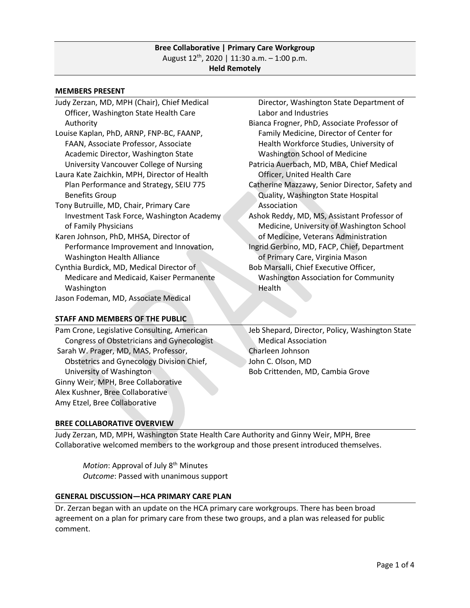### **Bree Collaborative | Primary Care Workgroup** August  $12^{th}$ , 2020 | 11:30 a.m. - 1:00 p.m. **Held Remotely**

#### **MEMBERS PRESENT**

| Judy Zerzan, MD, MPH (Chair), Chief Medical  | Director, Washington State Department of       |
|----------------------------------------------|------------------------------------------------|
| Officer, Washington State Health Care        | Labor and Industries                           |
| Authority                                    | Bianca Frogner, PhD, Associate Professor of    |
| Louise Kaplan, PhD, ARNP, FNP-BC, FAANP,     | Family Medicine, Director of Center for        |
| FAAN, Associate Professor, Associate         | Health Workforce Studies, University of        |
| Academic Director, Washington State          | Washington School of Medicine                  |
| University Vancouver College of Nursing      | Patricia Auerbach, MD, MBA, Chief Medical      |
| Laura Kate Zaichkin, MPH, Director of Health | Officer, United Health Care                    |
| Plan Performance and Strategy, SEIU 775      | Catherine Mazzawy, Senior Director, Safety and |
| <b>Benefits Group</b>                        | Quality, Washington State Hospital             |
| Tony Butruille, MD, Chair, Primary Care      | Association                                    |
| Investment Task Force, Washington Academy    | Ashok Reddy, MD, MS, Assistant Professor of    |
| of Family Physicians                         | Medicine, University of Washington School      |
| Karen Johnson, PhD, MHSA, Director of        | of Medicine, Veterans Administration           |
| Performance Improvement and Innovation,      | Ingrid Gerbino, MD, FACP, Chief, Department    |
| <b>Washington Health Alliance</b>            | of Primary Care, Virginia Mason                |
| Cynthia Burdick, MD, Medical Director of     | Bob Marsalli, Chief Executive Officer,         |
| Medicare and Medicaid, Kaiser Permanente     | <b>Washington Association for Community</b>    |
| Washington                                   | Health                                         |
| Jason Fodeman, MD, Associate Medical         |                                                |
|                                              |                                                |

### **STAFF AND MEMBERS OF THE PUBLIC**

Pam Crone, Legislative Consulting, American Congress of Obstetricians and Gynecologist Sarah W. Prager, MD, MAS, Professor, Obstetrics and Gynecology Division Chief, University of Washington Ginny Weir, MPH, Bree Collaborative Alex Kushner, Bree Collaborative Amy Etzel, Bree Collaborative

Jeb Shepard, Director, Policy, Washington State Medical Association Charleen Johnson John C. Olson, MD Bob Crittenden, MD, Cambia Grove

### **BREE COLLABORATIVE OVERVIEW**

Judy Zerzan, MD, MPH, Washington State Health Care Authority and Ginny Weir, MPH, Bree Collaborative welcomed members to the workgroup and those present introduced themselves.

Motion: Approval of July 8<sup>th</sup> Minutes *Outcome*: Passed with unanimous support

## **GENERAL DISCUSSION—HCA PRIMARY CARE PLAN**

Dr. Zerzan began with an update on the HCA primary care workgroups. There has been broad agreement on a plan for primary care from these two groups, and a plan was released for public comment.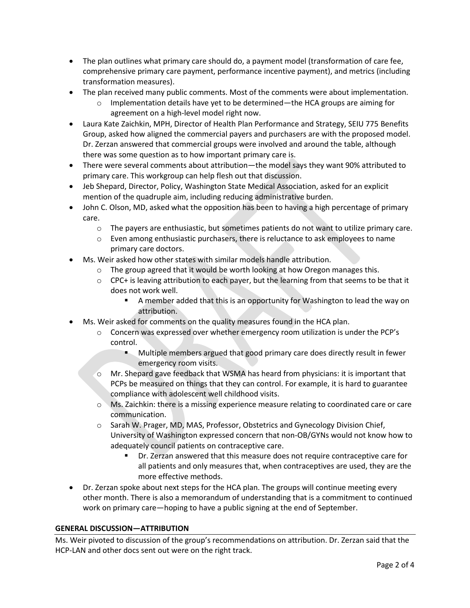- The plan outlines what primary care should do, a payment model (transformation of care fee, comprehensive primary care payment, performance incentive payment), and metrics (including transformation measures).
- The plan received many public comments. Most of the comments were about implementation.
	- $\circ$  Implementation details have yet to be determined—the HCA groups are aiming for agreement on a high-level model right now.
- Laura Kate Zaichkin, MPH, Director of Health Plan Performance and Strategy, SEIU 775 Benefits Group, asked how aligned the commercial payers and purchasers are with the proposed model. Dr. Zerzan answered that commercial groups were involved and around the table, although there was some question as to how important primary care is.
- There were several comments about attribution—the model says they want 90% attributed to primary care. This workgroup can help flesh out that discussion.
- Jeb Shepard, Director, Policy, Washington State Medical Association, asked for an explicit mention of the quadruple aim, including reducing administrative burden.
- John C. Olson, MD, asked what the opposition has been to having a high percentage of primary care.
	- o The payers are enthusiastic, but sometimes patients do not want to utilize primary care.
	- $\circ$  Even among enthusiastic purchasers, there is reluctance to ask employees to name primary care doctors.
- Ms. Weir asked how other states with similar models handle attribution.
	- o The group agreed that it would be worth looking at how Oregon manages this.
	- $\circ$  CPC+ is leaving attribution to each payer, but the learning from that seems to be that it does not work well.
		- A member added that this is an opportunity for Washington to lead the way on attribution.
- Ms. Weir asked for comments on the quality measures found in the HCA plan.
	- $\circ$  Concern was expressed over whether emergency room utilization is under the PCP's control.
		- Multiple members argued that good primary care does directly result in fewer emergency room visits.
	- $\circ$  Mr. Shepard gave feedback that WSMA has heard from physicians: it is important that PCPs be measured on things that they can control. For example, it is hard to guarantee compliance with adolescent well childhood visits.
	- o Ms. Zaichkin: there is a missing experience measure relating to coordinated care or care communication.
	- $\circ$  Sarah W. Prager, MD, MAS, Professor, Obstetrics and Gynecology Division Chief, University of Washington expressed concern that non-OB/GYNs would not know how to adequately council patients on contraceptive care.
		- Dr. Zerzan answered that this measure does not require contraceptive care for all patients and only measures that, when contraceptives are used, they are the more effective methods.
- Dr. Zerzan spoke about next steps for the HCA plan. The groups will continue meeting every other month. There is also a memorandum of understanding that is a commitment to continued work on primary care—hoping to have a public signing at the end of September.

### **GENERAL DISCUSSION—ATTRIBUTION**

Ms. Weir pivoted to discussion of the group's recommendations on attribution. Dr. Zerzan said that the HCP-LAN and other docs sent out were on the right track.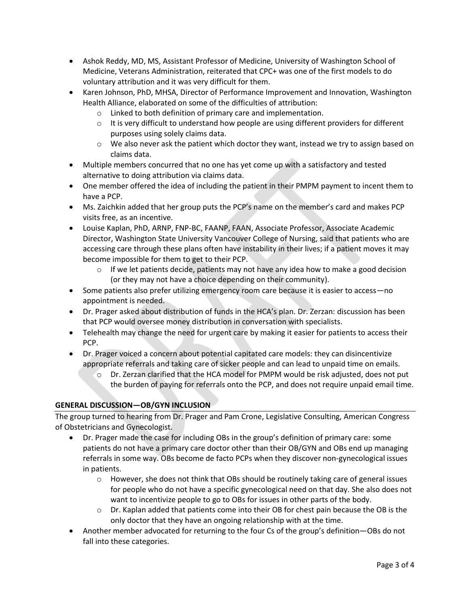- Ashok Reddy, MD, MS, Assistant Professor of Medicine, University of Washington School of Medicine, Veterans Administration, reiterated that CPC+ was one of the first models to do voluntary attribution and it was very difficult for them.
- Karen Johnson, PhD, MHSA, Director of Performance Improvement and Innovation, Washington Health Alliance, elaborated on some of the difficulties of attribution:
	- o Linked to both definition of primary care and implementation.
	- $\circ$  It is very difficult to understand how people are using different providers for different purposes using solely claims data.
	- $\circ$  We also never ask the patient which doctor they want, instead we try to assign based on claims data.
- Multiple members concurred that no one has yet come up with a satisfactory and tested alternative to doing attribution via claims data.
- One member offered the idea of including the patient in their PMPM payment to incent them to have a PCP.
- Ms. Zaichkin added that her group puts the PCP's name on the member's card and makes PCP visits free, as an incentive.
- Louise Kaplan, PhD, ARNP, FNP-BC, FAANP, FAAN, Associate Professor, Associate Academic Director, Washington State University Vancouver College of Nursing, said that patients who are accessing care through these plans often have instability in their lives; if a patient moves it may become impossible for them to get to their PCP.
	- $\circ$  If we let patients decide, patients may not have any idea how to make a good decision (or they may not have a choice depending on their community).
- Some patients also prefer utilizing emergency room care because it is easier to access—no appointment is needed.
- Dr. Prager asked about distribution of funds in the HCA's plan. Dr. Zerzan: discussion has been that PCP would oversee money distribution in conversation with specialists.
- Telehealth may change the need for urgent care by making it easier for patients to access their PCP.
- Dr. Prager voiced a concern about potential capitated care models: they can disincentivize appropriate referrals and taking care of sicker people and can lead to unpaid time on emails.
	- $\circ$  Dr. Zerzan clarified that the HCA model for PMPM would be risk adjusted, does not put the burden of paying for referrals onto the PCP, and does not require unpaid email time.

# **GENERAL DISCUSSION—OB/GYN INCLUSION**

The group turned to hearing from Dr. Prager and Pam Crone, Legislative Consulting, American Congress of Obstetricians and Gynecologist.

- Dr. Prager made the case for including OBs in the group's definition of primary care: some patients do not have a primary care doctor other than their OB/GYN and OBs end up managing referrals in some way. OBs become de facto PCPs when they discover non-gynecological issues in patients.
	- $\circ$  However, she does not think that OBs should be routinely taking care of general issues for people who do not have a specific gynecological need on that day. She also does not want to incentivize people to go to OBs for issues in other parts of the body.
	- $\circ$  Dr. Kaplan added that patients come into their OB for chest pain because the OB is the only doctor that they have an ongoing relationship with at the time.
- Another member advocated for returning to the four Cs of the group's definition—OBs do not fall into these categories.